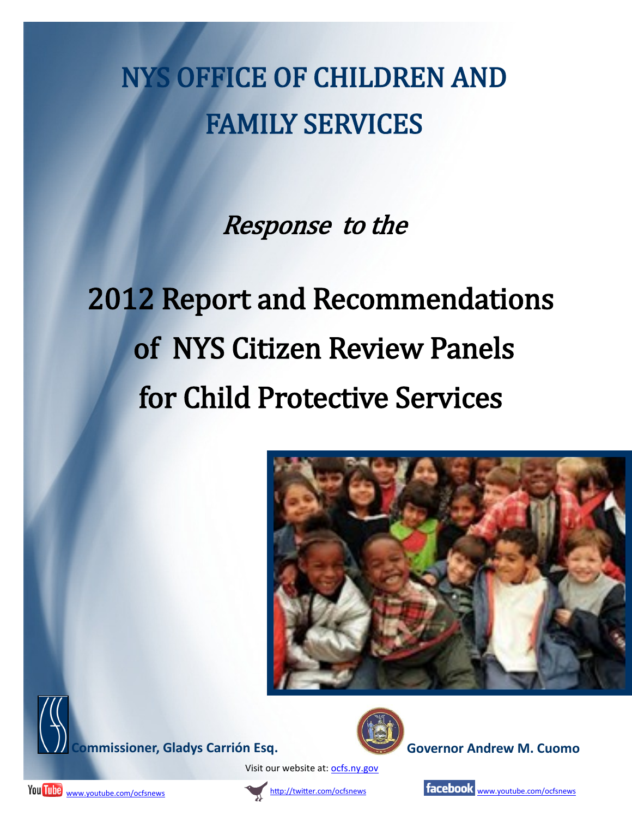## NYS OFFICE OF CHILDREN AND FAMILY SERVICES

Response to the

# 2012 Report and Recommendations of NYS Citizen Review Panels for Child Protective Services







Visit our website at: <ocfs.ny.gov>





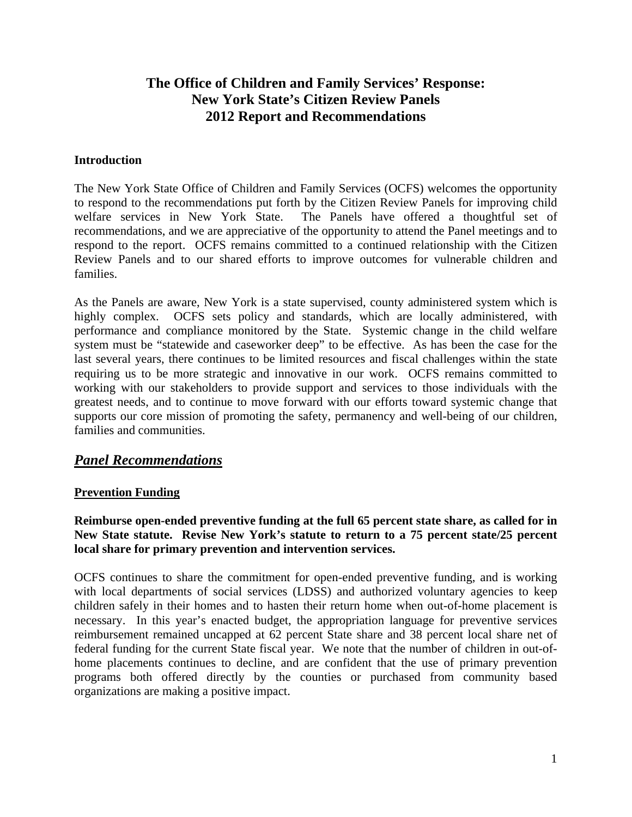### **The Office of Children and Family Services' Response: New York State's Citizen Review Panels 2012 Report and Recommendations**

#### **Introduction**

The New York State Office of Children and Family Services (OCFS) welcomes the opportunity to respond to the recommendations put forth by the Citizen Review Panels for improving child welfare services in New York State. The Panels have offered a thoughtful set of recommendations, and we are appreciative of the opportunity to attend the Panel meetings and to respond to the report. OCFS remains committed to a continued relationship with the Citizen Review Panels and to our shared efforts to improve outcomes for vulnerable children and families.

As the Panels are aware, New York is a state supervised, county administered system which is highly complex. OCFS sets policy and standards, which are locally administered, with performance and compliance monitored by the State. Systemic change in the child welfare system must be "statewide and caseworker deep" to be effective. As has been the case for the last several years, there continues to be limited resources and fiscal challenges within the state requiring us to be more strategic and innovative in our work. OCFS remains committed to working with our stakeholders to provide support and services to those individuals with the greatest needs, and to continue to move forward with our efforts toward systemic change that supports our core mission of promoting the safety, permanency and well-being of our children, families and communities.

#### *Panel Recommendations*

#### **Prevention Funding**

#### **Reimburse open-ended preventive funding at the full 65 percent state share, as called for in New State statute. Revise New York's statute to return to a 75 percent state/25 percent local share for primary prevention and intervention services.**

OCFS continues to share the commitment for open-ended preventive funding, and is working with local departments of social services (LDSS) and authorized voluntary agencies to keep children safely in their homes and to hasten their return home when out-of-home placement is necessary. In this year's enacted budget, the appropriation language for preventive services reimbursement remained uncapped at 62 percent State share and 38 percent local share net of federal funding for the current State fiscal year. We note that the number of children in out-ofhome placements continues to decline, and are confident that the use of primary prevention programs both offered directly by the counties or purchased from community based organizations are making a positive impact.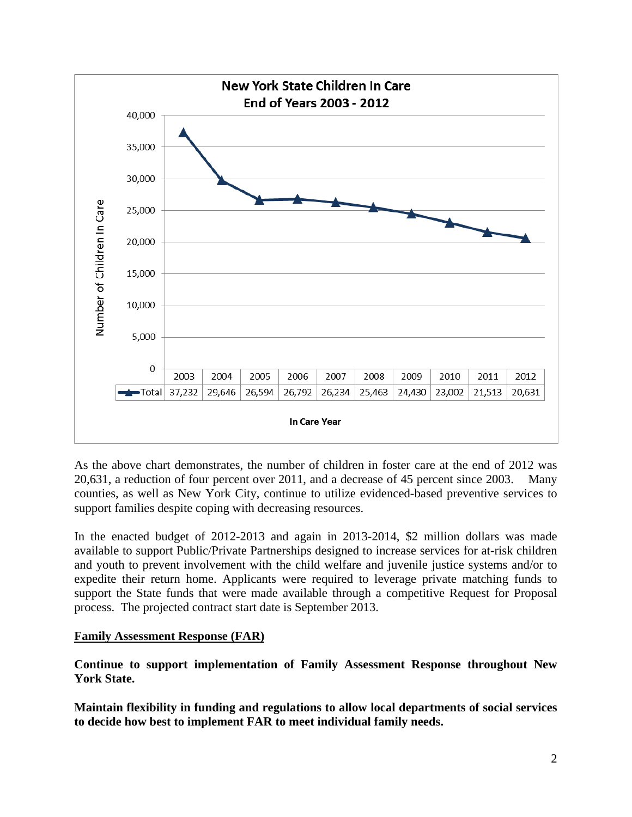

As the above chart demonstrates, the number of children in foster care at the end of 2012 was 20,631, a reduction of four percent over 2011, and a decrease of 45 percent since 2003. Many counties, as well as New York City, continue to utilize evidenced-based preventive services to support families despite coping with decreasing resources.

In the enacted budget of 2012-2013 and again in 2013-2014, \$2 million dollars was made available to support Public/Private Partnerships designed to increase services for at-risk children and youth to prevent involvement with the child welfare and juvenile justice systems and/or to expedite their return home. Applicants were required to leverage private matching funds to support the State funds that were made available through a competitive Request for Proposal process. The projected contract start date is September 2013.

#### **Family Assessment Response (FAR)**

**Continue to support implementation of Family Assessment Response throughout New York State.** 

**Maintain flexibility in funding and regulations to allow local departments of social services to decide how best to implement FAR to meet individual family needs.**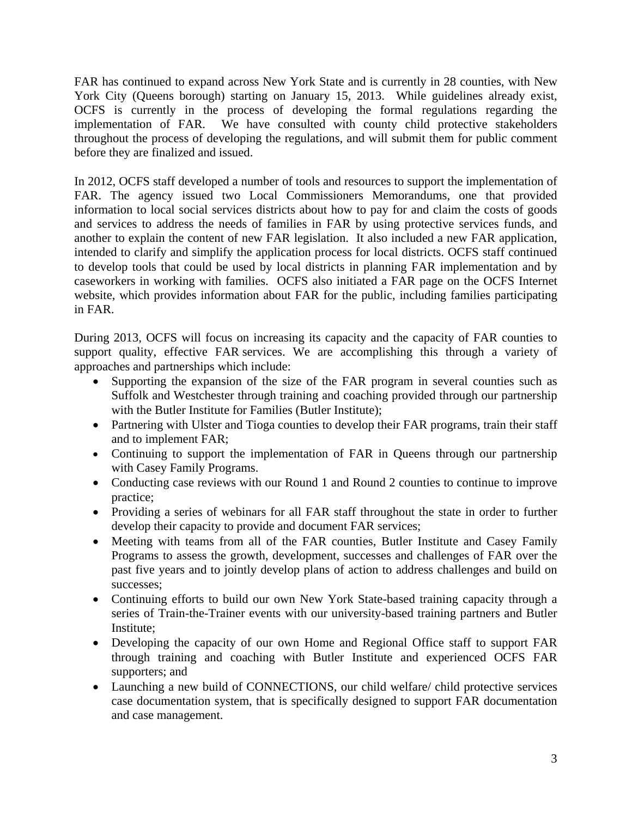FAR has continued to expand across New York State and is currently in 28 counties, with New York City (Queens borough) starting on January 15, 2013. While guidelines already exist, OCFS is currently in the process of developing the formal regulations regarding the implementation of FAR. We have consulted with county child protective stakeholders throughout the process of developing the regulations, and will submit them for public comment before they are finalized and issued.

In 2012, OCFS staff developed a number of tools and resources to support the implementation of FAR. The agency issued two Local Commissioners Memorandums, one that provided information to local social services districts about how to pay for and claim the costs of goods and services to address the needs of families in FAR by using protective services funds, and another to explain the content of new FAR legislation. It also included a new FAR application, intended to clarify and simplify the application process for local districts. OCFS staff continued to develop tools that could be used by local districts in planning FAR implementation and by caseworkers in working with families. OCFS also initiated a FAR page on the OCFS Internet website, which provides information about FAR for the public, including families participating in FAR.

During 2013, OCFS will focus on increasing its capacity and the capacity of FAR counties to support quality, effective FAR services. We are accomplishing this through a variety of approaches and partnerships which include:

- Supporting the expansion of the size of the FAR program in several counties such as Suffolk and Westchester through training and coaching provided through our partnership with the Butler Institute for Families (Butler Institute);
- Partnering with Ulster and Tioga counties to develop their FAR programs, train their staff and to implement FAR;
- Continuing to support the implementation of FAR in Queens through our partnership with Casey Family Programs.
- Conducting case reviews with our Round 1 and Round 2 counties to continue to improve practice;
- Providing a series of webinars for all FAR staff throughout the state in order to further develop their capacity to provide and document FAR services;
- Meeting with teams from all of the FAR counties, Butler Institute and Casey Family Programs to assess the growth, development, successes and challenges of FAR over the past five years and to jointly develop plans of action to address challenges and build on successes;
- Continuing efforts to build our own New York State-based training capacity through a series of Train-the-Trainer events with our university-based training partners and Butler Institute;
- Developing the capacity of our own Home and Regional Office staff to support FAR through training and coaching with Butler Institute and experienced OCFS FAR supporters; and
- Launching a new build of CONNECTIONS, our child welfare/ child protective services case documentation system, that is specifically designed to support FAR documentation and case management.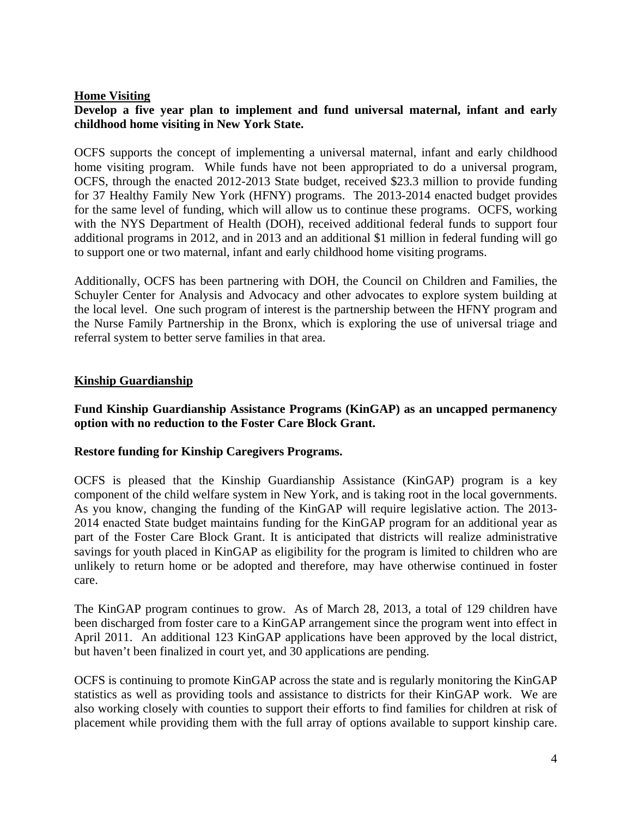#### **Home Visiting**

#### **Develop a five year plan to implement and fund universal maternal, infant and early childhood home visiting in New York State.**

OCFS supports the concept of implementing a universal maternal, infant and early childhood home visiting program. While funds have not been appropriated to do a universal program, OCFS, through the enacted 2012-2013 State budget, received \$23.3 million to provide funding for 37 Healthy Family New York (HFNY) programs. The 2013-2014 enacted budget provides for the same level of funding, which will allow us to continue these programs. OCFS, working with the NYS Department of Health (DOH), received additional federal funds to support four additional programs in 2012, and in 2013 and an additional \$1 million in federal funding will go to support one or two maternal, infant and early childhood home visiting programs.

Additionally, OCFS has been partnering with DOH, the Council on Children and Families, the Schuyler Center for Analysis and Advocacy and other advocates to explore system building at the local level. One such program of interest is the partnership between the HFNY program and the Nurse Family Partnership in the Bronx, which is exploring the use of universal triage and referral system to better serve families in that area.

#### **Kinship Guardianship**

#### **Fund Kinship Guardianship Assistance Programs (KinGAP) as an uncapped permanency option with no reduction to the Foster Care Block Grant.**

#### **Restore funding for Kinship Caregivers Programs.**

OCFS is pleased that the Kinship Guardianship Assistance (KinGAP) program is a key component of the child welfare system in New York, and is taking root in the local governments. As you know, changing the funding of the KinGAP will require legislative action. The 2013- 2014 enacted State budget maintains funding for the KinGAP program for an additional year as part of the Foster Care Block Grant. It is anticipated that districts will realize administrative savings for youth placed in KinGAP as eligibility for the program is limited to children who are unlikely to return home or be adopted and therefore, may have otherwise continued in foster care.

The KinGAP program continues to grow. As of March 28, 2013, a total of 129 children have been discharged from foster care to a KinGAP arrangement since the program went into effect in April 2011. An additional 123 KinGAP applications have been approved by the local district, but haven't been finalized in court yet, and 30 applications are pending.

OCFS is continuing to promote KinGAP across the state and is regularly monitoring the KinGAP statistics as well as providing tools and assistance to districts for their KinGAP work. We are also working closely with counties to support their efforts to find families for children at risk of placement while providing them with the full array of options available to support kinship care.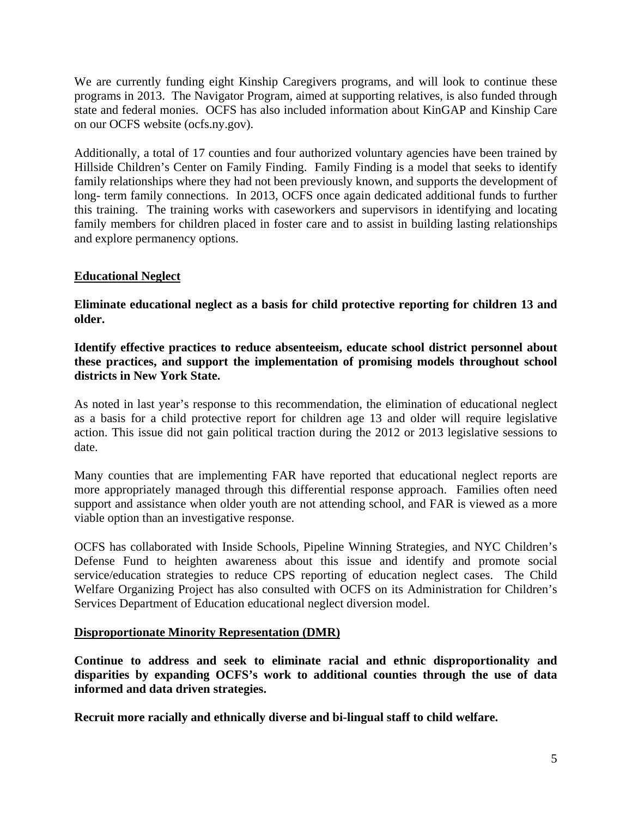We are currently funding eight Kinship Caregivers programs, and will look to continue these programs in 2013. The Navigator Program, aimed at supporting relatives, is also funded through state and federal monies. OCFS has also included information about KinGAP and Kinship Care on our OCFS website (ocfs.ny.gov).

Additionally, a total of 17 counties and four authorized voluntary agencies have been trained by Hillside Children's Center on Family Finding. Family Finding is a model that seeks to identify family relationships where they had not been previously known, and supports the development of long- term family connections. In 2013, OCFS once again dedicated additional funds to further this training. The training works with caseworkers and supervisors in identifying and locating family members for children placed in foster care and to assist in building lasting relationships and explore permanency options.

#### **Educational Neglect**

**Eliminate educational neglect as a basis for child protective reporting for children 13 and older.** 

**Identify effective practices to reduce absenteeism, educate school district personnel about these practices, and support the implementation of promising models throughout school districts in New York State.** 

As noted in last year's response to this recommendation, the elimination of educational neglect as a basis for a child protective report for children age 13 and older will require legislative action. This issue did not gain political traction during the 2012 or 2013 legislative sessions to date.

Many counties that are implementing FAR have reported that educational neglect reports are more appropriately managed through this differential response approach. Families often need support and assistance when older youth are not attending school, and FAR is viewed as a more viable option than an investigative response.

OCFS has collaborated with Inside Schools, Pipeline Winning Strategies, and NYC Children's Defense Fund to heighten awareness about this issue and identify and promote social service/education strategies to reduce CPS reporting of education neglect cases. The Child Welfare Organizing Project has also consulted with OCFS on its Administration for Children's Services Department of Education educational neglect diversion model.

#### **Disproportionate Minority Representation (DMR)**

**Continue to address and seek to eliminate racial and ethnic disproportionality and disparities by expanding OCFS's work to additional counties through the use of data informed and data driven strategies.** 

**Recruit more racially and ethnically diverse and bi-lingual staff to child welfare.**